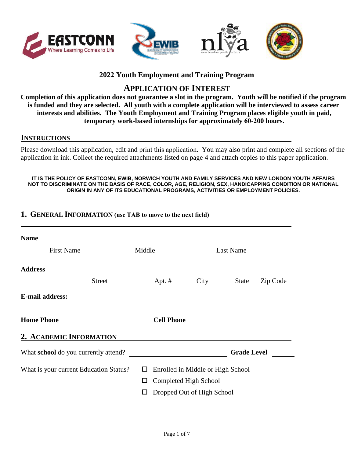



### **2022 Youth Employment and Training Program**

# **APPLICATION OF INTEREST**

**Completion of this application does not guarantee a slot in the program. Youth will be notified if the program is funded and they are selected. All youth with a complete application will be interviewed to assess career interests and abilities. The Youth Employment and Training Program places eligible youth in paid, temporary work-based internships for approximately 60-200 hours.**

#### **INSTRUCTIONS**

Please download this application, edit and print this application. You may also print and complete all sections of the application in ink. Collect the required attachments listed on page 4 and attach copies to this paper application.

**IT IS THE POLICY OF EASTCONN, EWIB, NORWICH YOUTH AND FAMILY SERVICES AND NEW LONDON YOUTH AFFAIRS NOT TO DISCRIMINATE ON THE BASIS OF RACE, COLOR, AGE, RELIGION, SEX, HANDICAPPING CONDITION OR NATIONAL ORIGIN IN ANY OF ITS EDUCATIONAL PROGRAMS, ACTIVITIES OR EMPLOYMENT POLICIES.** 

#### **1. GENERAL INFORMATION (use TAB to move to the next field)**

| <b>Name</b>                                 |                         |        |                   |                                   |                    |          |
|---------------------------------------------|-------------------------|--------|-------------------|-----------------------------------|--------------------|----------|
|                                             | <b>First Name</b>       | Middle |                   |                                   | <b>Last Name</b>   |          |
| <b>Address</b>                              |                         |        |                   |                                   |                    |          |
|                                             | <b>Street</b>           |        | Apt. $#$          | City                              | <b>State</b>       | Zip Code |
| <b>E-mail address:</b>                      |                         |        |                   |                                   |                    |          |
| <b>Home Phone</b>                           |                         |        | <b>Cell Phone</b> |                                   |                    |          |
|                                             | 2. ACADEMIC INFORMATION |        |                   |                                   |                    |          |
| What <b>school</b> do you currently attend? |                         |        |                   |                                   | <b>Grade Level</b> |          |
| What is your current Education Status?      |                         | $\Box$ |                   | Enrolled in Middle or High School |                    |          |
|                                             |                         | ப      |                   | Completed High School             |                    |          |
|                                             |                         |        |                   | Dropped Out of High School        |                    |          |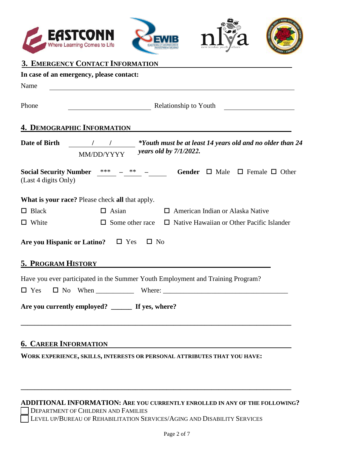







## **3. EMERGENCY CONTACT INFORMATION**

|                                   | In case of an emergency, please contact:                                                                                    |  |  |
|-----------------------------------|-----------------------------------------------------------------------------------------------------------------------------|--|--|
| Name                              |                                                                                                                             |  |  |
| Phone                             | Relationship to Youth <b>Example 2014</b> Relationship to Youth                                                             |  |  |
| <b>4. DEMOGRAPHIC INFORMATION</b> |                                                                                                                             |  |  |
|                                   | *Youth must be at least 14 years old and no older than 24<br>Date of Birth 1 / 1<br>years old by $7/1/2022$ .<br>MM/DD/YYYY |  |  |
| (Last 4 digits Only)              | <b>Social Security Number</b> $\frac{***}{}$ - $\frac{***}{}$ - Gender $\Box$ Male $\Box$ Female $\Box$ Other               |  |  |
|                                   | What is your race? Please check all that apply.                                                                             |  |  |
| $\Box$ Black                      | $\Box$ Asian<br>$\Box$ American Indian or Alaska Native                                                                     |  |  |
| $\Box$ White                      | $\Box$ Native Hawaiian or Other Pacific Islander<br>$\Box$ Some other race                                                  |  |  |
|                                   | $\square$ No<br>Are you Hispanic or Latino? $\Box$ Yes                                                                      |  |  |
| <b>5. PROGRAM HISTORY</b>         | <u> 1989 - Andrea Andrew Maria (h. 1989).</u>                                                                               |  |  |
|                                   | Have you ever participated in the Summer Youth Employment and Training Program?                                             |  |  |
| $\Box$ Yes                        | $\Box$ No When $\Box$ Where: $\Box$                                                                                         |  |  |
|                                   | Are you currently employed? ______ If yes, where?                                                                           |  |  |
|                                   |                                                                                                                             |  |  |

### **6. CAREER INFORMATION**

**WORK EXPERIENCE, SKILLS, INTERESTS OR PERSONAL ATTRIBUTES THAT YOU HAVE:**

#### **ADDITIONAL INFORMATION: ARE YOU CURRENTLY ENROLLED IN ANY OF THE FOLLOWING?**

**\_\_\_\_\_\_\_\_\_\_\_\_\_\_\_\_\_\_\_\_\_\_\_\_\_\_\_\_\_\_\_\_\_\_\_\_\_\_\_\_\_\_\_\_\_\_\_\_\_\_\_\_\_\_\_\_\_\_\_\_\_\_\_\_\_\_\_\_\_\_\_\_\_\_\_\_\_\_** 

DEPARTMENT OF CHILDREN AND FAMILIES

LEVEL UP/BUREAU OF REHABILITATION SERVICES/AGING AND DISABILITY SERVICES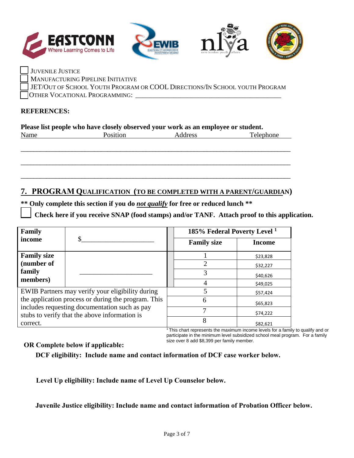







JUVENILE JUSTICE MANUFACTURING PIPELINE INITIATIVE JET/OUT OF SCHOOL YOUTH PROGRAM OR COOL DIRECTIONS/IN SCHOOL YOUTH PROGRAM \_\_ OTHER VOCATIONAL PROGRAMMING: \_\_\_\_\_\_\_\_\_\_\_\_\_\_\_\_\_\_\_\_\_\_\_\_\_\_\_\_\_\_\_\_\_\_\_\_\_\_\_\_\_\_

#### **REFERENCES:**

| Please list people who have closely observed your work as an employee or student. |                 |         |           |
|-----------------------------------------------------------------------------------|-----------------|---------|-----------|
| Name                                                                              | <b>Position</b> | Address | Telephone |

\_\_\_\_\_\_\_\_\_\_\_\_\_\_\_\_\_\_\_\_\_\_\_\_\_\_\_\_\_\_\_\_\_\_\_\_\_\_\_\_\_\_\_\_\_\_\_\_\_\_\_\_\_\_\_\_\_\_\_\_\_\_\_\_\_\_\_\_\_\_\_\_\_\_\_\_\_\_\_\_\_\_\_\_

\_\_\_\_\_\_\_\_\_\_\_\_\_\_\_\_\_\_\_\_\_\_\_\_\_\_\_\_\_\_\_\_\_\_\_\_\_\_\_\_\_\_\_\_\_\_\_\_\_\_\_\_\_\_\_\_\_\_\_\_\_\_\_\_\_\_\_\_\_\_\_\_\_\_\_\_\_\_\_\_\_\_\_\_

\_\_\_\_\_\_\_\_\_\_\_\_\_\_\_\_\_\_\_\_\_\_\_\_\_\_\_\_\_\_\_\_\_\_\_\_\_\_\_\_\_\_\_\_\_\_\_\_\_\_\_\_\_\_\_\_\_\_\_\_\_\_\_\_\_\_\_\_\_\_\_\_\_\_\_\_\_\_\_\_\_\_\_\_

## **7. PROGRAM QUALIFICATION (TO BE COMPLETED WITH A PARENT/GUARDIAN)**

**\*\* Only complete this section if you do** *not qualify* **for free or reduced lunch \*\***

Check here if you receive SNAP (food stamps) and/or TANF. Attach proof to this application.

| Family                                                                                         | 185% Federal Poverty Level <sup>1</sup>                                                        |          |
|------------------------------------------------------------------------------------------------|------------------------------------------------------------------------------------------------|----------|
| income                                                                                         | <b>Family size</b>                                                                             | Income   |
| <b>Family size</b>                                                                             |                                                                                                | \$23,828 |
| (number of                                                                                     |                                                                                                | \$32,227 |
| family                                                                                         |                                                                                                | \$40,626 |
| members)                                                                                       |                                                                                                | \$49,025 |
| EWIB Partners may verify your eligibility during                                               |                                                                                                | \$57,424 |
| the application process or during the program. This                                            | 6                                                                                              | \$65,823 |
| includes requesting documentation such as pay<br>stubs to verify that the above information is |                                                                                                | \$74,222 |
| correct.                                                                                       | 8<br>المعاملات والمستقبل والمتناور والمستحقق والمستحدث والمستحدث والمستحدث والمستحدات والمنافذ | \$82,621 |

<sup>1</sup>This chart represents the maximum income levels for a family to qualify and or participate in the minimum level subsidized school meal program. For a family size over 8 add \$8,399 per family member.

#### **OR Complete below if applicable:**

**DCF eligibility: Include name and contact information of DCF case worker below.**

**Level Up eligibility: Include name of Level Up Counselor below.**

**Juvenile Justice eligibility: Include name and contact information of Probation Officer below.**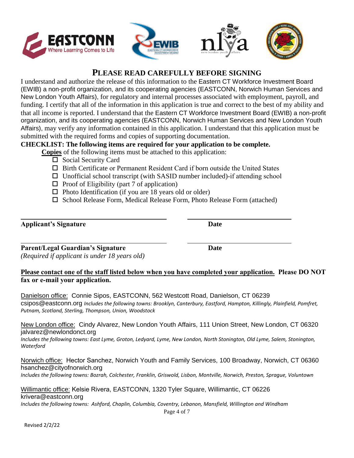

I understand and authorize the release of this information to the Eastern CT Workforce Investment Board (EWIB) a non-profit organization, and its cooperating agencies (EASTCONN, Norwich Human Services and New London Youth Affairs), for regulatory and internal processes associated with employment, payroll, and funding. I certify that all of the information in this application is true and correct to the best of my ability and that all income is reported. I understand that the Eastern CT Workforce Investment Board (EWIB) a non-profit organization, and its cooperating agencies (EASTCONN, Norwich Human Services and New London Youth Affairs), may verify any information contained in this application. I understand that this application must be submitted with the required forms and copies of supporting documentation.

#### **CHECKLIST: The following items are required for your application to be complete.**

**Copies** of the following items must be attached to this application:

- $\square$  Social Security Card
- $\Box$  Birth Certificate or Permanent Resident Card if born outside the United States
- $\Box$  Unofficial school transcript (with SASID number included)-if attending school
- $\Box$  Proof of Eligibility (part 7 of application)
- $\Box$  Photo Identification (if you are 18 years old or older)
- $\square$  School Release Form, Medical Release Form, Photo Release Form (attached)

#### **Applicant's Signature Date**

**Parent/Legal Guardian's Signature Date** *(Required if applicant is under 18 years old)*

#### **Please contact one of the staff listed below when you have completed your application. Please DO NOT fax or e-mail your application.**

Danielson office: Connie Sipos, EASTCONN, 562 Westcott Road, Danielson, CT 06239 csipos@eastconn.org *Includes the following towns: Brooklyn, Canterbury, Eastford, Hampton, Killingly, Plainfield, Pomfret, Putnam, Scotland, Sterling, Thompson, Union, Woodstock* 

#### New London office: Cindy Alvarez, New London Youth Affairs, 111 Union Street, New London, CT 06320 jalvarez@newlondonct.org

*Includes the following towns: East Lyme, Groton, Ledyard, Lyme, New London, North Stonington, Old Lyme, Salem, Stonington, Waterford* 

## Norwich office: Hector Sanchez, Norwich Youth and Family Services, 100 Broadway, Norwich, CT 06360 hsanchez@cityofnorwich.org

*Includes the following towns: Bozrah, Colchester, Franklin, Griswold, Lisbon, Montville, Norwich, Preston, Sprague, Voluntown* 

#### Willimantic office: Kelsie Rivera, EASTCONN, 1320 Tyler Square, Willimantic, CT 06226 krivera@eastconn.org *Includes the following towns: Ashford, Chaplin, Columbia, Coventry, Lebanon, Mansfield, Willington and Windham*



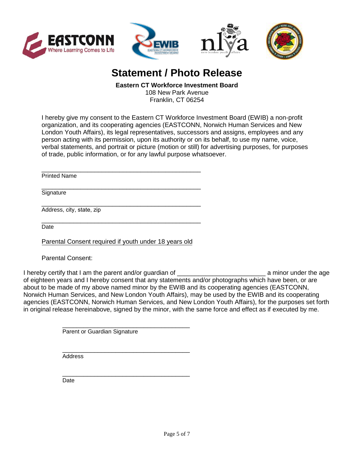





# **Statement / Photo Release**

#### **Eastern CT Workforce Investment Board**

108 New Park Avenue Franklin, CT 06254

I hereby give my consent to the Eastern CT Workforce Investment Board (EWIB) a non-profit organization, and its cooperating agencies (EASTCONN, Norwich Human Services and New London Youth Affairs), its legal representatives, successors and assigns, employees and any person acting with its permission, upon its authority or on its behalf, to use my name, voice, verbal statements, and portrait or picture (motion or still) for advertising purposes, for purposes of trade, public information, or for any lawful purpose whatsoever.

\_\_\_\_\_\_\_\_\_\_\_\_\_\_\_\_\_\_\_\_\_\_\_\_\_\_\_\_\_\_\_\_\_\_\_\_\_\_\_\_\_\_\_\_\_ Printed Name

\_\_\_\_\_\_\_\_\_\_\_\_\_\_\_\_\_\_\_\_\_\_\_\_\_\_\_\_\_\_\_\_\_\_\_\_\_\_\_\_\_\_\_\_\_ **Signature** 

\_\_\_\_\_\_\_\_\_\_\_\_\_\_\_\_\_\_\_\_\_\_\_\_\_\_\_\_\_\_\_\_\_\_\_\_\_\_\_\_\_\_\_\_\_ Address, city, state, zip

\_\_\_\_\_\_\_\_\_\_\_\_\_\_\_\_\_\_\_\_\_\_\_\_\_\_\_\_\_\_\_\_\_\_\_\_\_\_\_\_\_\_\_\_\_ **Date** 

Parental Consent required if youth under 18 years old

Parental Consent:

I hereby certify that I am the parent and/or guardian of Theorem Communist Laminor under the age of eighteen years and I hereby consent that any statements and/or photographs which have been, or are about to be made of my above named minor by the EWIB and its cooperating agencies (EASTCONN, Norwich Human Services, and New London Youth Affairs), may be used by the EWIB and its cooperating agencies (EASTCONN, Norwich Human Services, and New London Youth Affairs), for the purposes set forth in original release hereinabove, signed by the minor, with the same force and effect as if executed by me.

> \_\_\_\_\_\_\_\_\_\_\_\_\_\_\_\_\_\_\_\_\_\_\_\_\_\_\_\_\_\_\_\_\_\_\_\_ Parent or Guardian Signature

> \_\_\_\_\_\_\_\_\_\_\_\_\_\_\_\_\_\_\_\_\_\_\_\_\_\_\_\_\_\_\_\_\_\_\_\_ **Address**

> \_\_\_\_\_\_\_\_\_\_\_\_\_\_\_\_\_\_\_\_\_\_\_\_\_\_\_\_\_\_\_\_\_\_\_\_ Date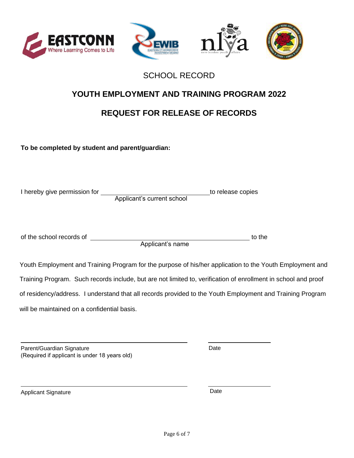





# SCHOOL RECORD

# **YOUTH EMPLOYMENT AND TRAINING PROGRAM 2022**

# **REQUEST FOR RELEASE OF RECORDS**

**To be completed by student and parent/guardian:**

| I hereby give permission for |                            | to release copies |
|------------------------------|----------------------------|-------------------|
|                              | Applicant's current school |                   |
|                              |                            |                   |
|                              |                            |                   |
|                              |                            |                   |
|                              |                            |                   |
| of the school records of     |                            | to the            |
|                              | Applicant's name           |                   |
|                              |                            |                   |
|                              |                            |                   |

Youth Employment and Training Program for the purpose of his/her application to the Youth Employment and Training Program. Such records include, but are not limited to, verification of enrollment in school and proof of residency/address. I understand that all records provided to the Youth Employment and Training Program will be maintained on a confidential basis.

| Parent/Guardian Signature                     |  |
|-----------------------------------------------|--|
| (Required if applicant is under 18 years old) |  |

Date

Applicant Signature Date